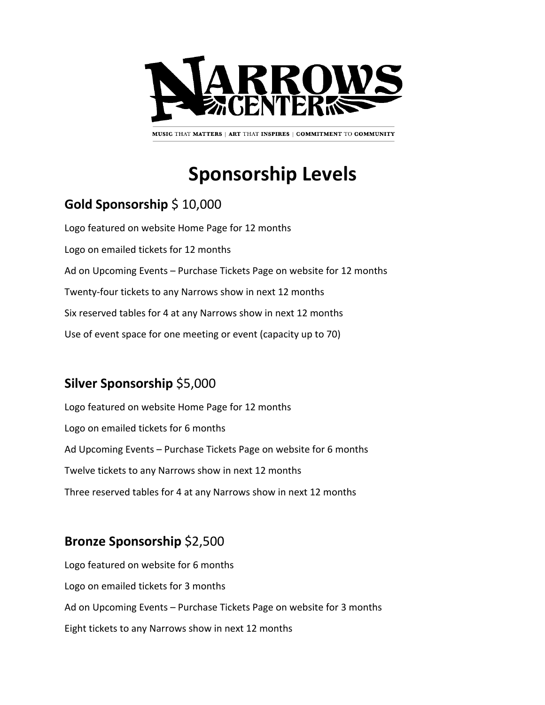

MUSIC THAT MATTERS | ART THAT INSPIRES | COMMITMENT TO COMMUNITY

# **Sponsorship Levels**

## **Gold Sponsorship** \$ 10,000

Logo featured on website Home Page for 12 months Logo on emailed tickets for 12 months Ad on Upcoming Events – Purchase Tickets Page on website for 12 months Twenty-four tickets to any Narrows show in next 12 months Six reserved tables for 4 at any Narrows show in next 12 months Use of event space for one meeting or event (capacity up to 70)

### **Silver Sponsorship** \$5,000

Logo featured on website Home Page for 12 months Logo on emailed tickets for 6 months Ad Upcoming Events – Purchase Tickets Page on website for 6 months Twelve tickets to any Narrows show in next 12 months Three reserved tables for 4 at any Narrows show in next 12 months

### **Bronze Sponsorship** \$2,500

Logo featured on website for 6 months Logo on emailed tickets for 3 months Ad on Upcoming Events – Purchase Tickets Page on website for 3 months Eight tickets to any Narrows show in next 12 months